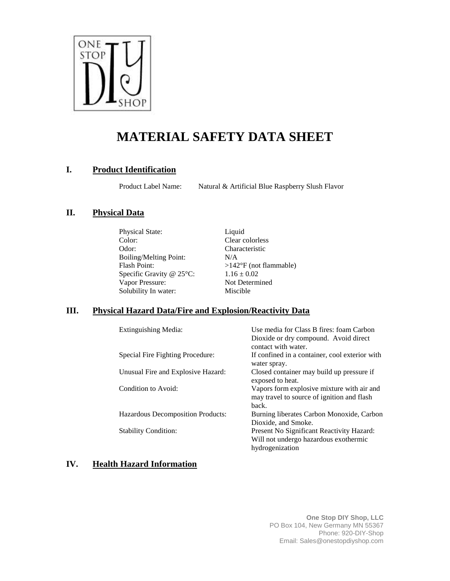

# **MATERIAL SAFETY DATA SHEET**

## **I. Product Identification**

Product Label Name: Natural & Artificial Blue Raspberry Slush Flavor

## **II. Physical Data**

Physical State: Liquid Color: Clear colorless Odor: Characteristic Boiling/Melting Point: N/A Flash Point: >142°F (not flammable) Specific Gravity @ 25°C:  $1.16 \pm 0.02$ <br>Vapor Pressure: Not Determined Vapor Pressure: Solubility In water: Miscible

# **III. Physical Hazard Data/Fire and Explosion/Reactivity Data**

Extinguishing Media: Use media for Class B fires: foam Carbon

|                                    | Droatue of any compound. Throat uncer<br>contact with water.                                          |
|------------------------------------|-------------------------------------------------------------------------------------------------------|
| Special Fire Fighting Procedure:   | If confined in a container, cool exterior with<br>water spray.                                        |
| Unusual Fire and Explosive Hazard: | Closed container may build up pressure if<br>exposed to heat.                                         |
| Condition to Avoid:                | Vapors form explosive mixture with air and<br>may travel to source of ignition and flash<br>back.     |
| Hazardous Decomposition Products:  | Burning liberates Carbon Monoxide, Carbon<br>Dioxide, and Smoke.                                      |
| <b>Stability Condition:</b>        | Present No Significant Reactivity Hazard:<br>Will not undergo hazardous exothermic<br>hydrogenization |

# **IV. Health Hazard Information**

Dioxide or dry compound. Avoid direct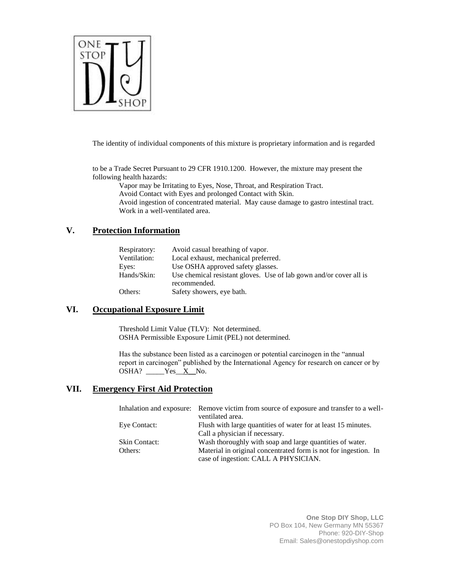

The identity of individual components of this mixture is proprietary information and is regarded

to be a Trade Secret Pursuant to 29 CFR 1910.1200. However, the mixture may present the following health hazards:

Vapor may be Irritating to Eyes, Nose, Throat, and Respiration Tract.

Avoid Contact with Eyes and prolonged Contact with Skin.

Avoid ingestion of concentrated material. May cause damage to gastro intestinal tract. Work in a well-ventilated area.

## **V. Protection Information**

| Respiratory: | Avoid casual breathing of vapor.                                                   |
|--------------|------------------------------------------------------------------------------------|
| Ventilation: | Local exhaust, mechanical preferred.                                               |
| Eyes:        | Use OSHA approved safety glasses.                                                  |
| Hands/Skin:  | Use chemical resistant gloves. Use of lab gown and/or cover all is<br>recommended. |
| Others:      | Safety showers, eye bath.                                                          |
|              |                                                                                    |

#### **VI. Occupational Exposure Limit**

Threshold Limit Value (TLV): Not determined. OSHA Permissible Exposure Limit (PEL) not determined.

Has the substance been listed as a carcinogen or potential carcinogen in the "annual report in carcinogen" published by the International Agency for research on cancer or by OSHA? \_\_\_\_\_Yes\_X\_No.

## **VII. Emergency First Aid Protection**

|               | Inhalation and exposure: Remove victim from source of exposure and transfer to a well- |
|---------------|----------------------------------------------------------------------------------------|
|               | ventilated area.                                                                       |
| Eye Contact:  | Flush with large quantities of water for at least 15 minutes.                          |
|               | Call a physician if necessary.                                                         |
| Skin Contact: | Wash thoroughly with soap and large quantities of water.                               |
| Others:       | Material in original concentrated form is not for ingestion. In                        |
|               | case of ingestion: CALL A PHYSICIAN.                                                   |

**One Stop DIY Shop, LLC** PO Box 104, New Germany MN 55367 Phone: 920-DIY-Shop Email: Sales@onestopdiyshop.com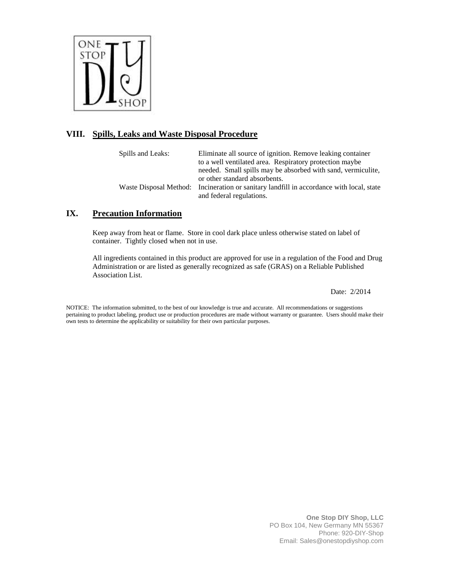

#### **VIII. Spills, Leaks and Waste Disposal Procedure**

| Spills and Leaks: | Eliminate all source of ignition. Remove leaking container                               |
|-------------------|------------------------------------------------------------------------------------------|
|                   | to a well ventilated area. Respiratory protection maybe                                  |
|                   | needed. Small spills may be absorbed with sand, vermiculite,                             |
|                   | or other standard absorbents.                                                            |
|                   | Waste Disposal Method: Incineration or sanitary landfill in accordance with local, state |
|                   | and federal regulations.                                                                 |

#### **IX. Precaution Information**

Keep away from heat or flame. Store in cool dark place unless otherwise stated on label of container. Tightly closed when not in use.

All ingredients contained in this product are approved for use in a regulation of the Food and Drug Administration or are listed as generally recognized as safe (GRAS) on a Reliable Published Association List.

Date: 2/2014

NOTICE: The information submitted, to the best of our knowledge is true and accurate. All recommendations or suggestions pertaining to product labeling, product use or production procedures are made without warranty or guarantee. Users should make their own tests to determine the applicability or suitability for their own particular purposes.